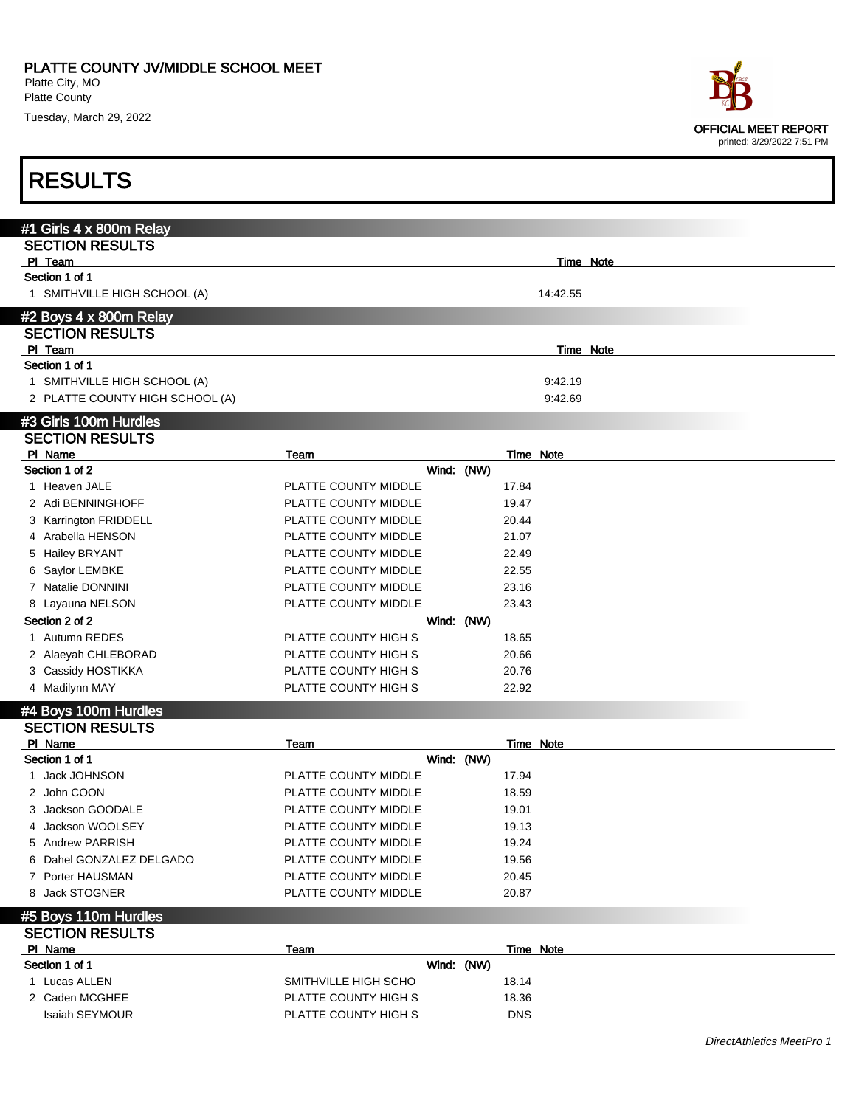Platte County

Tuesday, March 29, 2022



#### RESULTS

| #1 Girls 4 x 800m Relay         |                                 |            |       |           |  |
|---------------------------------|---------------------------------|------------|-------|-----------|--|
| <b>SECTION RESULTS</b>          |                                 |            |       |           |  |
| PI Team                         |                                 |            |       | Time Note |  |
| Section 1 of 1                  |                                 |            |       |           |  |
| 1 SMITHVILLE HIGH SCHOOL (A)    |                                 |            |       | 14:42.55  |  |
| #2 Boys 4 x 800m Relay          |                                 |            |       |           |  |
| <b>SECTION RESULTS</b>          |                                 |            |       |           |  |
| PI Team                         |                                 |            |       | Time Note |  |
| Section 1 of 1                  |                                 |            |       |           |  |
| 1 SMITHVILLE HIGH SCHOOL (A)    |                                 |            |       | 9:42.19   |  |
| 2 PLATTE COUNTY HIGH SCHOOL (A) |                                 |            |       | 9:42.69   |  |
| #3 Girls 100m Hurdles           |                                 |            |       |           |  |
| <b>SECTION RESULTS</b>          |                                 |            |       |           |  |
| PI Name                         | Team                            |            |       | Time Note |  |
| Section 1 of 2                  |                                 | Wind: (NW) |       |           |  |
| 1 Heaven JALE                   | PLATTE COUNTY MIDDLE            |            | 17.84 |           |  |
| 2 Adi BENNINGHOFF               | PLATTE COUNTY MIDDLE            |            | 19.47 |           |  |
| 3 Karrington FRIDDELL           | PLATTE COUNTY MIDDLE            |            | 20.44 |           |  |
| 4 Arabella HENSON               | PLATTE COUNTY MIDDLE            |            | 21.07 |           |  |
| 5 Hailey BRYANT                 | PLATTE COUNTY MIDDLE            |            | 22.49 |           |  |
| Saylor LEMBKE<br>6              | PLATTE COUNTY MIDDLE            |            | 22.55 |           |  |
| 7 Natalie DONNINI               | PLATTE COUNTY MIDDLE            |            | 23.16 |           |  |
| 8 Layauna NELSON                | PLATTE COUNTY MIDDLE            |            | 23.43 |           |  |
| Section 2 of 2                  |                                 | Wind: (NW) |       |           |  |
| 1 Autumn REDES                  | PLATTE COUNTY HIGH S            |            | 18.65 |           |  |
| 2 Alaeyah CHLEBORAD             | PLATTE COUNTY HIGH S            |            | 20.66 |           |  |
| 3 Cassidy HOSTIKKA              | PLATTE COUNTY HIGH S            |            | 20.76 |           |  |
| 4 Madilynn MAY                  | PLATTE COUNTY HIGH S            |            | 22.92 |           |  |
| #4 Boys 100m Hurdles            |                                 |            |       |           |  |
| <b>SECTION RESULTS</b>          |                                 |            |       |           |  |
| PI Name                         | Team                            |            |       | Time Note |  |
| Section 1 of 1                  |                                 | Wind: (NW) |       |           |  |
| 1 Iack IOHNISON                 | <b>DI ATTE COLINITY MIDDI E</b> |            | 1701  |           |  |

| <b>UUUUU LULL</b>        |                      |       |  |
|--------------------------|----------------------|-------|--|
| 1 Jack JOHNSON           | PLATTE COUNTY MIDDLE | 17.94 |  |
| 2 John COON              | PLATTE COUNTY MIDDLE | 18.59 |  |
| 3 Jackson GOODALE        | PLATTE COUNTY MIDDLE | 19.01 |  |
| 4 Jackson WOOLSEY        | PLATTE COUNTY MIDDLE | 19.13 |  |
| 5 Andrew PARRISH         | PLATTE COUNTY MIDDLE | 19.24 |  |
| 6 Dahel GONZALEZ DELGADO | PLATTE COUNTY MIDDLE | 19.56 |  |
| 7 Porter HAUSMAN         | PLATTE COUNTY MIDDLE | 20.45 |  |
| 8 Jack STOGNER           | PLATTE COUNTY MIDDLE | 20.87 |  |
| #5 Boys 110m Hurdles     |                      |       |  |
| <b>SECTION RESULTS</b>   |                      |       |  |

PI Name Team Team Team Team Team Time Note Section 1 of 1 Wind: (NW) 1 Lucas ALLEN **19.14** SMITHVILLE HIGH SCHO 18.14 2 Caden MCGHEE PLATTE COUNTY HIGH S 18.36 Isaiah SEYMOUR **PLATTE COUNTY HIGH S** DNS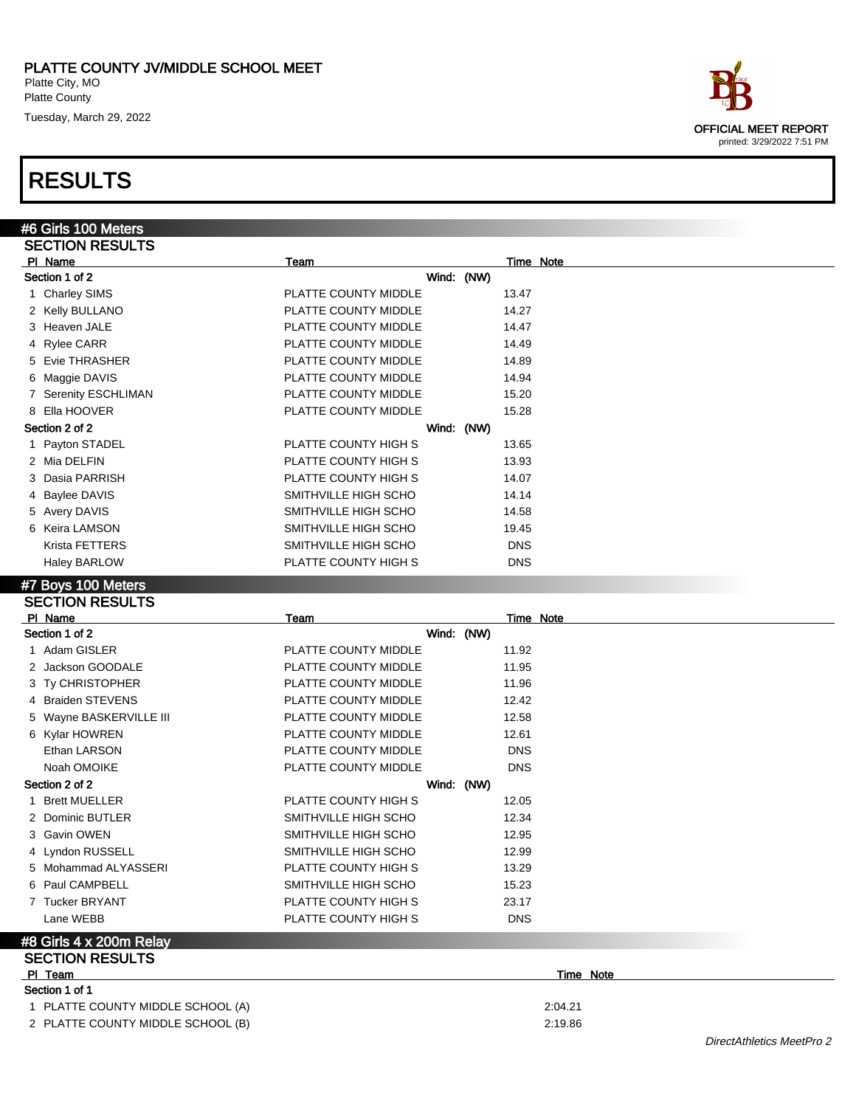## RESULTS

#6 Girls 100 Meters SECTION RESULTS

| PI Name                | Team                 | Time Note  |
|------------------------|----------------------|------------|
| Section 1 of 2         | Wind: (NW)           |            |
| 1 Charley SIMS         | PLATTE COUNTY MIDDLE | 13.47      |
| 2 Kelly BULLANO        | PLATTE COUNTY MIDDLE | 14.27      |
| 3 Heaven JALE          | PLATTE COUNTY MIDDLE | 14.47      |
| 4 Rylee CARR           | PLATTE COUNTY MIDDLE | 14.49      |
| 5 Evie THRASHER        | PLATTE COUNTY MIDDLE | 14.89      |
| 6 Maggie DAVIS         | PLATTE COUNTY MIDDLE | 14.94      |
| 7 Serenity ESCHLIMAN   | PLATTE COUNTY MIDDLE | 15.20      |
| 8 Ella HOOVER          | PLATTE COUNTY MIDDLE | 15.28      |
| Section 2 of 2         | Wind: (NW)           |            |
| 1 Payton STADEL        | PLATTE COUNTY HIGH S | 13.65      |
| 2 Mia DELFIN           | PLATTE COUNTY HIGH S | 13.93      |
| 3 Dasia PARRISH        | PLATTE COUNTY HIGH S | 14.07      |
| 4 Baylee DAVIS         | SMITHVILLE HIGH SCHO | 14.14      |
| 5 Avery DAVIS          | SMITHVILLE HIGH SCHO | 14.58      |
| 6 Keira LAMSON         | SMITHVILLE HIGH SCHO | 19.45      |
| Krista FETTERS         | SMITHVILLE HIGH SCHO | <b>DNS</b> |
| <b>Haley BARLOW</b>    | PLATTE COUNTY HIGH S | <b>DNS</b> |
| #7 Boys 100 Meters     |                      |            |
| <b>SECTION RESULTS</b> |                      |            |

| PI Name                           | <b>Team</b>          | <b>Time Note</b> |  |
|-----------------------------------|----------------------|------------------|--|
| Section 1 of 2                    | Wind: (NW)           |                  |  |
| 1 Adam GISLER                     | PLATTE COUNTY MIDDLE | 11.92            |  |
| 2 Jackson GOODALE                 | PLATTE COUNTY MIDDLE | 11.95            |  |
| 3 Ty CHRISTOPHER                  | PLATTE COUNTY MIDDLE | 11.96            |  |
| 4 Braiden STEVENS                 | PLATTE COUNTY MIDDLE | 12.42            |  |
| 5 Wayne BASKERVILLE III           | PLATTE COUNTY MIDDLE | 12.58            |  |
| 6 Kylar HOWREN                    | PLATTE COUNTY MIDDLE | 12.61            |  |
| Ethan LARSON                      | PLATTE COUNTY MIDDLE | <b>DNS</b>       |  |
| Noah OMOIKE                       | PLATTE COUNTY MIDDLE | <b>DNS</b>       |  |
| Section 2 of 2                    | Wind: (NW)           |                  |  |
| 1 Brett MUELLER                   | PLATTE COUNTY HIGH S | 12.05            |  |
| 2 Dominic BUTLER                  | SMITHVILLE HIGH SCHO | 12.34            |  |
| 3 Gavin OWEN                      | SMITHVILLE HIGH SCHO | 12.95            |  |
| 4 Lyndon RUSSELL                  | SMITHVILLE HIGH SCHO | 12.99            |  |
| 5 Mohammad ALYASSERI              | PLATTE COUNTY HIGH S | 13.29            |  |
| 6 Paul CAMPBELL                   | SMITHVILLE HIGH SCHO | 15.23            |  |
| 7 Tucker BRYANT                   | PLATTE COUNTY HIGH S | 23.17            |  |
| Lane WEBB                         | PLATTE COUNTY HIGH S | <b>DNS</b>       |  |
| #8 Girls 4 x 200m Relay           |                      |                  |  |
| <b>SECTION RESULTS</b>            |                      |                  |  |
| PI Team                           |                      | Time Note        |  |
| Section 1 of 1                    |                      |                  |  |
| 1 PLATTE COUNTY MIDDLE SCHOOL (A) |                      | 2:04.21          |  |
| 2 PLATTE COUNTY MIDDLE SCHOOL (B) |                      | 2:19.86          |  |

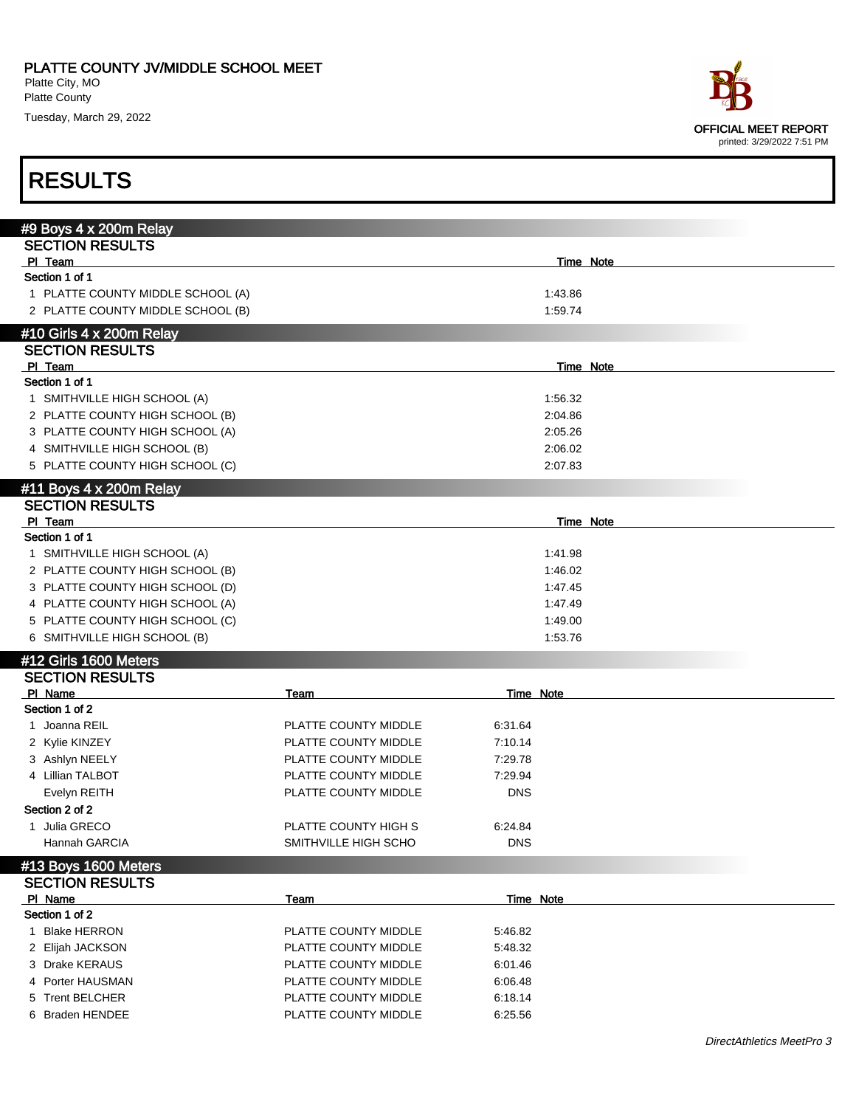Platte County

Tuesday, March 29, 2022



| #9 Boys 4 x 200m Relay                         |                      |                  |                    |  |
|------------------------------------------------|----------------------|------------------|--------------------|--|
| <b>SECTION RESULTS</b>                         |                      |                  |                    |  |
| PI Team                                        |                      |                  | Time Note          |  |
| Section 1 of 1                                 |                      |                  |                    |  |
| 1 PLATTE COUNTY MIDDLE SCHOOL (A)              |                      |                  | 1:43.86            |  |
| 2 PLATTE COUNTY MIDDLE SCHOOL (B)              |                      |                  | 1.59.74            |  |
| #10 Girls 4 x 200m Relay                       |                      |                  |                    |  |
| <b>SECTION RESULTS</b>                         |                      |                  |                    |  |
| PI Team                                        |                      |                  | <b>Time Note</b>   |  |
| Section 1 of 1                                 |                      |                  |                    |  |
| 1 SMITHVILLE HIGH SCHOOL (A)                   |                      |                  | 1:56.32            |  |
| 2 PLATTE COUNTY HIGH SCHOOL (B)                |                      |                  | 2:04.86            |  |
| 3 PLATTE COUNTY HIGH SCHOOL (A)                |                      |                  | 2:05.26            |  |
| 4 SMITHVILLE HIGH SCHOOL (B)                   |                      |                  | 2:06.02            |  |
| 5 PLATTE COUNTY HIGH SCHOOL (C)                |                      |                  | 2:07.83            |  |
| #11 Boys 4 x 200m Relay                        |                      |                  |                    |  |
| <b>SECTION RESULTS</b>                         |                      |                  |                    |  |
| PI Team                                        |                      |                  | Time Note          |  |
| Section 1 of 1                                 |                      |                  |                    |  |
| 1 SMITHVILLE HIGH SCHOOL (A)                   |                      |                  | 1:41.98            |  |
| 2 PLATTE COUNTY HIGH SCHOOL (B)                |                      |                  | 1:46.02            |  |
| 3 PLATTE COUNTY HIGH SCHOOL (D)                |                      |                  | 1:47.45            |  |
| 4 PLATTE COUNTY HIGH SCHOOL (A)                |                      |                  | 1:47.49            |  |
| 5 PLATTE COUNTY HIGH SCHOOL (C)                |                      |                  | 1:49.00<br>1:53.76 |  |
| 6 SMITHVILLE HIGH SCHOOL (B)                   |                      |                  |                    |  |
| #12 Girls 1600 Meters                          |                      |                  |                    |  |
| <b>SECTION RESULTS</b>                         |                      |                  |                    |  |
| PI Name<br>Section 1 of 2                      | Team                 | <b>Time Note</b> |                    |  |
| 1 Joanna REIL                                  | PLATTE COUNTY MIDDLE | 6:31.64          |                    |  |
| 2 Kylie KINZEY                                 | PLATTE COUNTY MIDDLE | 7:10.14          |                    |  |
| 3 Ashlyn NEELY                                 | PLATTE COUNTY MIDDLE | 7:29.78          |                    |  |
| 4 Lillian TALBOT                               | PLATTE COUNTY MIDDLE | 7:29.94          |                    |  |
| Evelyn REITH                                   | PLATTE COUNTY MIDDLE | <b>DNS</b>       |                    |  |
| Section 2 of 2                                 |                      |                  |                    |  |
| 1 Julia GRECO                                  | PLATTE COUNTY HIGH S | 6.24.84          |                    |  |
| Hannah GARCIA                                  | SMITHVILLE HIGH SCHO | <b>DNS</b>       |                    |  |
|                                                |                      |                  |                    |  |
| #13 Boys 1600 Meters<br><b>SECTION RESULTS</b> |                      |                  |                    |  |
| PI Name                                        | Team                 | Time Note        |                    |  |
| Section 1 of 2                                 |                      |                  |                    |  |
| <b>Blake HERRON</b><br>1                       | PLATTE COUNTY MIDDLE | 5:46.82          |                    |  |
| 2 Elijah JACKSON                               | PLATTE COUNTY MIDDLE | 5:48.32          |                    |  |
| 3 Drake KERAUS                                 | PLATTE COUNTY MIDDLE | 6:01.46          |                    |  |
| 4 Porter HAUSMAN                               | PLATTE COUNTY MIDDLE | 6:06.48          |                    |  |
| 5 Trent BELCHER                                | PLATTE COUNTY MIDDLE | 6:18.14          |                    |  |
| 6 Braden HENDEE                                | PLATTE COUNTY MIDDLE | 6:25.56          |                    |  |
|                                                |                      |                  |                    |  |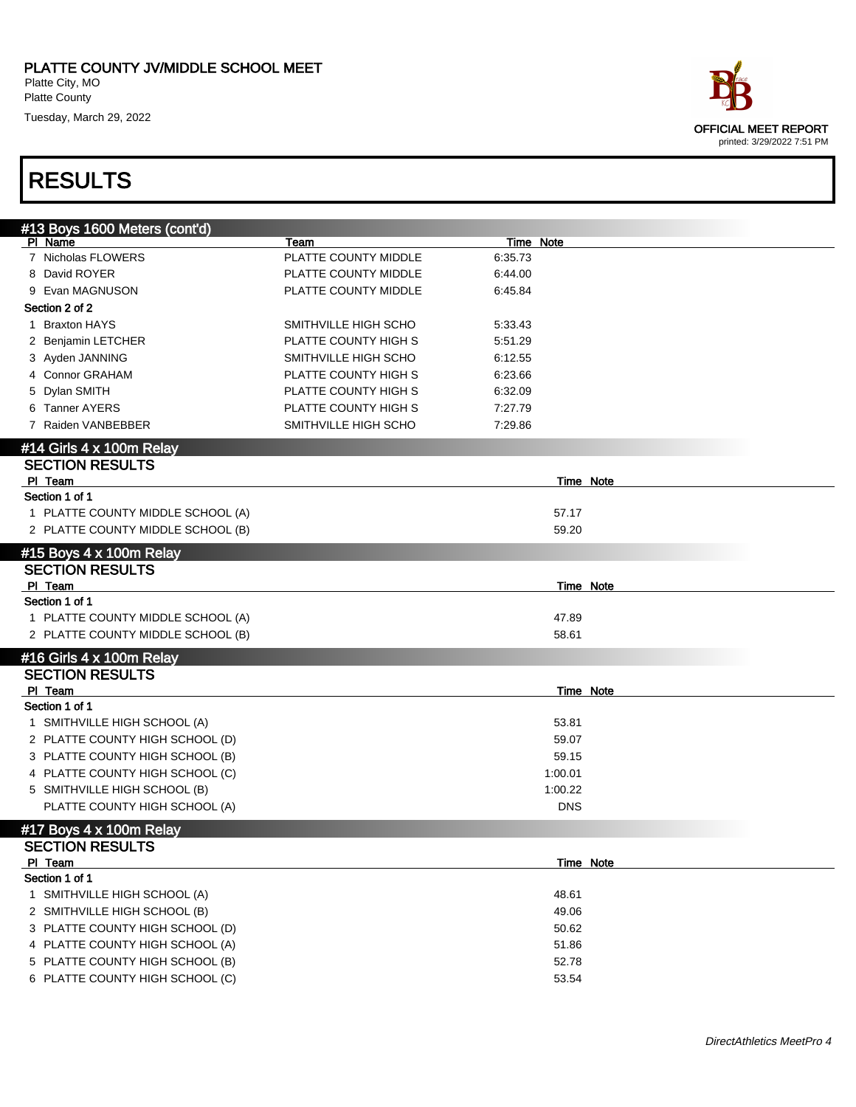| ace                        |
|----------------------------|
| OFFICIAL MEET REPORT       |
| printed: 3/29/2022 7:51 PM |

| #13 Boys 1600 Meters (cont'd)     |                      |                  |  |
|-----------------------------------|----------------------|------------------|--|
| PI Name                           | Team                 | Time Note        |  |
| 7 Nicholas FLOWERS                | PLATTE COUNTY MIDDLE | 6:35.73          |  |
| 8 David ROYER                     | PLATTE COUNTY MIDDLE | 6:44.00          |  |
| 9 Evan MAGNUSON                   | PLATTE COUNTY MIDDLE | 6:45.84          |  |
| Section 2 of 2                    |                      |                  |  |
| <b>Braxton HAYS</b><br>1.         | SMITHVILLE HIGH SCHO | 5:33.43          |  |
| 2 Benjamin LETCHER                | PLATTE COUNTY HIGH S | 5:51.29          |  |
| 3 Ayden JANNING                   | SMITHVILLE HIGH SCHO | 6:12.55          |  |
| 4 Connor GRAHAM                   | PLATTE COUNTY HIGH S | 6:23.66          |  |
| 5 Dylan SMITH                     | PLATTE COUNTY HIGH S | 6:32.09          |  |
| 6 Tanner AYERS                    | PLATTE COUNTY HIGH S | 7:27.79          |  |
| 7 Raiden VANBEBBER                | SMITHVILLE HIGH SCHO | 7:29.86          |  |
| #14 Girls 4 x 100m Relay          |                      |                  |  |
| <b>SECTION RESULTS</b>            |                      |                  |  |
| PI Team                           |                      | <b>Time Note</b> |  |
| Section 1 of 1                    |                      |                  |  |
| 1 PLATTE COUNTY MIDDLE SCHOOL (A) |                      | 57.17            |  |
| 2 PLATTE COUNTY MIDDLE SCHOOL (B) |                      | 59.20            |  |
| #15 Boys 4 x 100m Relay           |                      |                  |  |
| <b>SECTION RESULTS</b>            |                      |                  |  |
| PI Team                           |                      | <b>Time Note</b> |  |
| Section 1 of 1                    |                      |                  |  |
| 1 PLATTE COUNTY MIDDLE SCHOOL (A) |                      | 47.89            |  |
| 2 PLATTE COUNTY MIDDLE SCHOOL (B) |                      | 58.61            |  |
| #16 Girls 4 x 100m Relay          |                      |                  |  |
| <b>SECTION RESULTS</b>            |                      |                  |  |
| PI Team                           |                      | Time Note        |  |
| Section 1 of 1                    |                      |                  |  |
| 1 SMITHVILLE HIGH SCHOOL (A)      |                      | 53.81            |  |
| 2 PLATTE COUNTY HIGH SCHOOL (D)   |                      | 59.07            |  |
| 3 PLATTE COUNTY HIGH SCHOOL (B)   |                      | 59.15            |  |
| 4 PLATTE COUNTY HIGH SCHOOL (C)   |                      | 1:00.01          |  |
| 5 SMITHVILLE HIGH SCHOOL (B)      |                      | 1:00.22          |  |
| PLATTE COUNTY HIGH SCHOOL (A)     |                      | <b>DNS</b>       |  |
| #17 Boys 4 x 100m Relay           |                      |                  |  |
| <b>SECTION RESULTS</b>            |                      |                  |  |
| PI Team                           |                      | Time Note        |  |
| Section 1 of 1                    |                      |                  |  |
| 1 SMITHVILLE HIGH SCHOOL (A)      |                      | 48.61            |  |
| 2 SMITHVILLE HIGH SCHOOL (B)      |                      | 49.06            |  |
| 3 PLATTE COUNTY HIGH SCHOOL (D)   |                      | 50.62            |  |
| 4 PLATTE COUNTY HIGH SCHOOL (A)   |                      | 51.86            |  |
| 5 PLATTE COUNTY HIGH SCHOOL (B)   |                      | 52.78            |  |
| 6 PLATTE COUNTY HIGH SCHOOL (C)   |                      | 53.54            |  |
|                                   |                      |                  |  |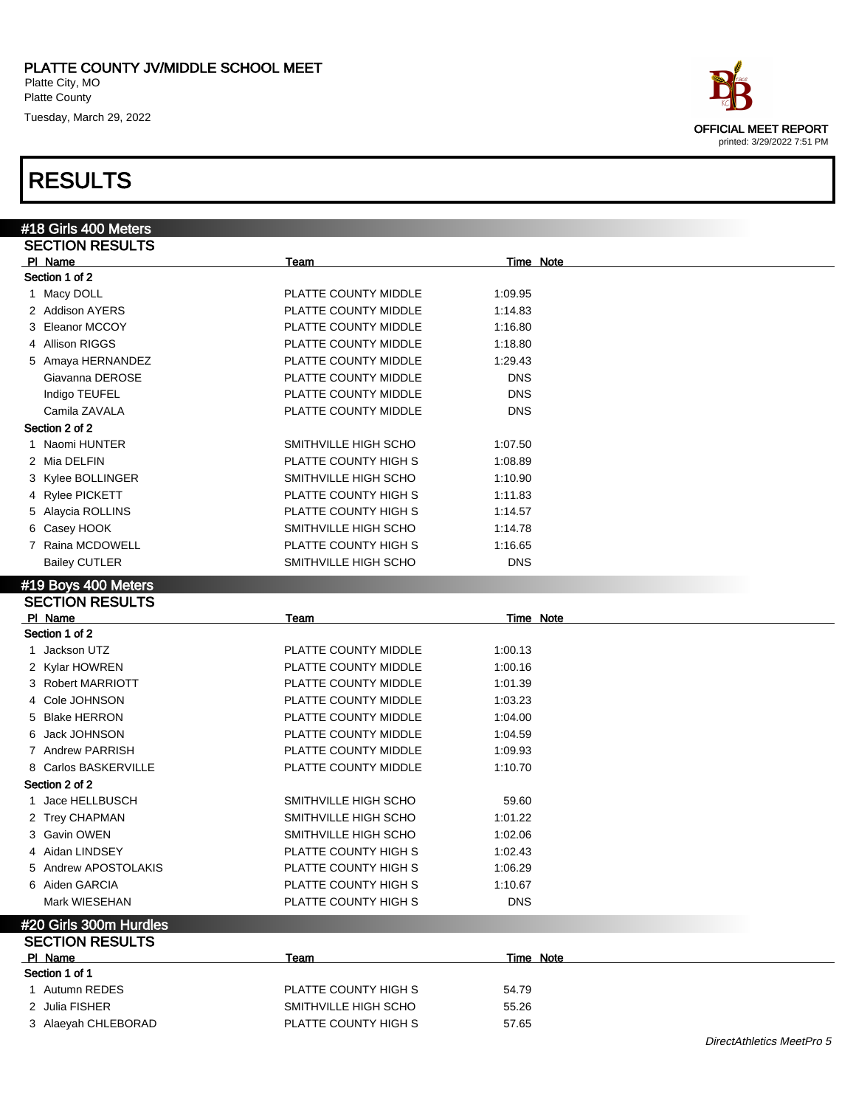#### RESULTS

#18 Girls 400 Meters SECTION RESULTS

Section 1 of 2

| PLATTE COUNTY JV/MIDDLE SCHOOL MEET<br>Platte City, MO<br>Platte County |                      |            |                                                           |  |  |
|-------------------------------------------------------------------------|----------------------|------------|-----------------------------------------------------------|--|--|
| Tuesday, March 29, 2022                                                 |                      |            |                                                           |  |  |
|                                                                         |                      |            | <b>OFFICIAL MEET REPORT</b><br>printed: 3/29/2022 7:51 PM |  |  |
| <b>RESULTS</b>                                                          |                      |            |                                                           |  |  |
| 18 Girls 400 Meters                                                     |                      |            |                                                           |  |  |
| <b>SECTION RESULTS</b>                                                  |                      |            |                                                           |  |  |
| PI Name                                                                 | Team                 | Time Note  |                                                           |  |  |
| Section 1 of 2                                                          |                      |            |                                                           |  |  |
| 1 Macy DOLL                                                             | PLATTE COUNTY MIDDLE | 1:09.95    |                                                           |  |  |
| 2 Addison AYERS                                                         | PLATTE COUNTY MIDDLE | 1:14.83    |                                                           |  |  |
| 3 Eleanor MCCOY                                                         | PLATTE COUNTY MIDDLE | 1:16.80    |                                                           |  |  |
| 4 Allison RIGGS                                                         | PLATTE COUNTY MIDDLE | 1:18.80    |                                                           |  |  |
| 5 Amaya HERNANDEZ                                                       | PLATTE COUNTY MIDDLE | 1:29.43    |                                                           |  |  |
| Giavanna DEROSE                                                         | PLATTE COUNTY MIDDLE | <b>DNS</b> |                                                           |  |  |
| Indigo TEUFEL                                                           | PLATTE COUNTY MIDDLE | <b>DNS</b> |                                                           |  |  |
| Camila ZAVALA                                                           | PLATTE COUNTY MIDDLE | <b>DNS</b> |                                                           |  |  |
| Section 2 of 2                                                          |                      |            |                                                           |  |  |
| 1 Naomi HUNTER                                                          | SMITHVILLE HIGH SCHO | 1.07.50    |                                                           |  |  |

| Camila ZAVALA        | PLATTE COUNTY MIDDLE | <b>DNS</b> |
|----------------------|----------------------|------------|
| Section 2 of 2       |                      |            |
| 1 Naomi HUNTER       | SMITHVILLE HIGH SCHO | 1:07.50    |
| 2 Mia DELFIN         | PLATTE COUNTY HIGH S | 1:08.89    |
| 3 Kylee BOLLINGER    | SMITHVILLE HIGH SCHO | 1:10.90    |
| 4 Rylee PICKETT      | PLATTE COUNTY HIGH S | 1:11.83    |
| 5 Alaycia ROLLINS    | PLATTE COUNTY HIGH S | 1:14.57    |
| 6 Casey HOOK         | SMITHVILLE HIGH SCHO | 1:14.78    |
| 7 Raina MCDOWELL     | PLATTE COUNTY HIGH S | 1:16.65    |
| <b>Bailey CUTLER</b> | SMITHVILLE HIGH SCHO | <b>DNS</b> |

#### #19 Boys 400 Meters

| <b>SECTION RESULTS</b> |                      |            |  |
|------------------------|----------------------|------------|--|
| PI Name                | Team                 | Time Note  |  |
| Section 1 of 2         |                      |            |  |
| 1 Jackson UTZ          | PLATTE COUNTY MIDDLE | 1:00.13    |  |
| 2 Kylar HOWREN         | PLATTE COUNTY MIDDLE | 1:00.16    |  |
| 3 Robert MARRIOTT      | PLATTE COUNTY MIDDLE | 1:01.39    |  |
| 4 Cole JOHNSON         | PLATTE COUNTY MIDDLE | 1:03.23    |  |
| 5 Blake HERRON         | PLATTE COUNTY MIDDLE | 1:04.00    |  |
| 6 Jack JOHNSON         | PLATTE COUNTY MIDDLE | 1:04.59    |  |
| 7 Andrew PARRISH       | PLATTE COUNTY MIDDLE | 1:09.93    |  |
| 8 Carlos BASKERVILLE   | PLATTE COUNTY MIDDLE | 1:10.70    |  |
| Section 2 of 2         |                      |            |  |
| 1 Jace HELLBUSCH       | SMITHVILLE HIGH SCHO | 59.60      |  |
| 2 Trey CHAPMAN         | SMITHVILLE HIGH SCHO | 1:01.22    |  |
| 3 Gavin OWEN           | SMITHVILLE HIGH SCHO | 1:02.06    |  |
| 4 Aidan LINDSEY        | PLATTE COUNTY HIGH S | 1:02.43    |  |
| 5 Andrew APOSTOLAKIS   | PLATTE COUNTY HIGH S | 1:06.29    |  |
| 6 Aiden GARCIA         | PLATTE COUNTY HIGH S | 1:10.67    |  |
| Mark WIESEHAN          | PLATTE COUNTY HIGH S | <b>DNS</b> |  |
| #20 Girls 300m Hurdles |                      |            |  |
| <b>SECTION RESULTS</b> |                      |            |  |
| PI Name                | Team                 | Time Note  |  |
| Section 1 of 1         |                      |            |  |

| --------------      |                      |       |
|---------------------|----------------------|-------|
| 1 Autumn REDES      | PLATTE COUNTY HIGH S | 54.79 |
| 2 Julia FISHER      | SMITHVILLE HIGH SCHO | 55.26 |
| 3 Alaeyah CHLEBORAD | PLATTE COUNTY HIGH S | 57.65 |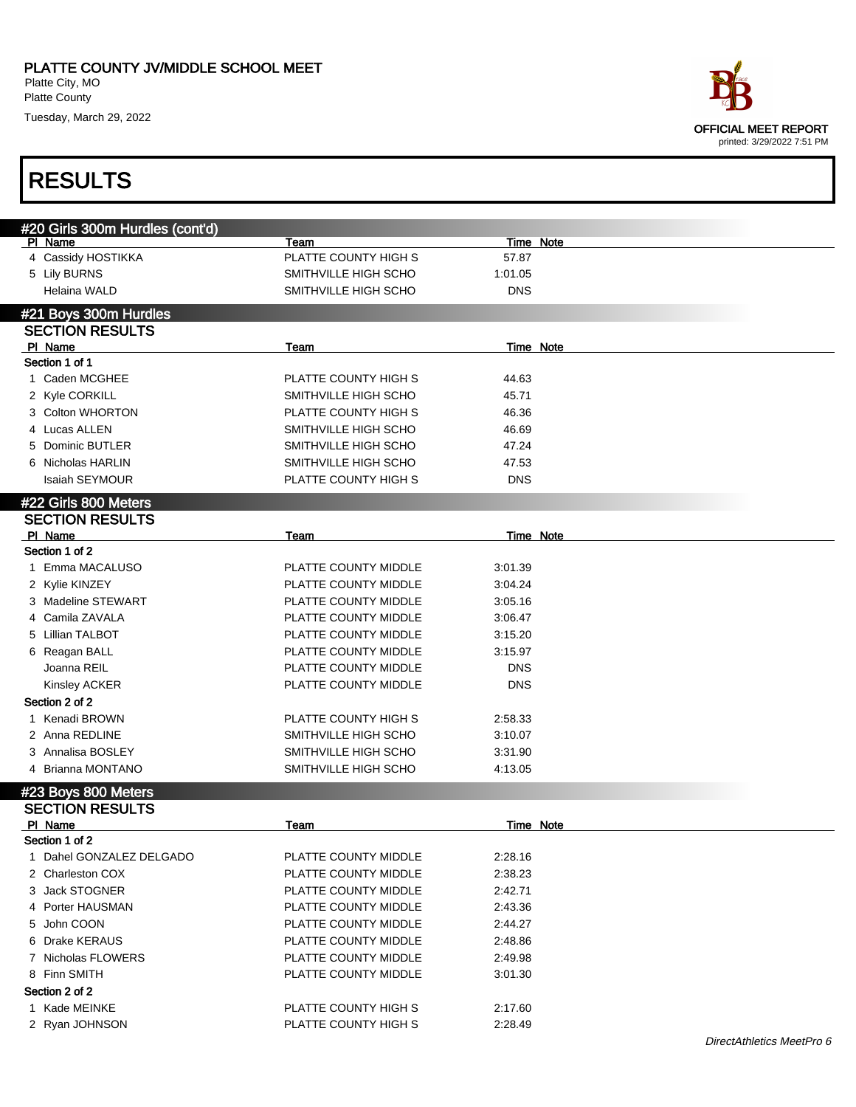| ace                        |
|----------------------------|
| OFFICIAL MEET REPORT       |
| printed: 3/29/2022 7:51 PM |

|   | #20 Girls 300m Hurdles (cont'd)  |                              |                  |           |
|---|----------------------------------|------------------------------|------------------|-----------|
|   | PI Name<br>4 Cassidy HOSTIKKA    | Team<br>PLATTE COUNTY HIGH S | 57.87            | Time Note |
|   | 5 Lily BURNS                     | SMITHVILLE HIGH SCHO         | 1:01.05          |           |
|   |                                  | SMITHVILLE HIGH SCHO         |                  |           |
|   | Helaina WALD                     |                              | <b>DNS</b>       |           |
|   | #21 Boys 300m Hurdles            |                              |                  |           |
|   | <b>SECTION RESULTS</b>           |                              |                  |           |
|   | PI Name                          | Team                         | Time Note        |           |
|   | Section 1 of 1                   |                              |                  |           |
|   | 1 Caden MCGHEE                   | PLATTE COUNTY HIGH S         | 44.63            |           |
|   | 2 Kyle CORKILL                   | SMITHVILLE HIGH SCHO         | 45.71            |           |
|   | 3 Colton WHORTON                 | PLATTE COUNTY HIGH S         | 46.36            |           |
|   | 4 Lucas ALLEN                    | SMITHVILLE HIGH SCHO         | 46.69            |           |
|   | 5 Dominic BUTLER                 | SMITHVILLE HIGH SCHO         | 47.24            |           |
|   | 6 Nicholas HARLIN                | SMITHVILLE HIGH SCHO         | 47.53            |           |
|   | <b>Isaiah SEYMOUR</b>            | PLATTE COUNTY HIGH S         | <b>DNS</b>       |           |
|   | #22 Girls 800 Meters             |                              |                  |           |
|   | <b>SECTION RESULTS</b>           |                              |                  |           |
|   | PI Name                          | Team                         | Time Note        |           |
|   | Section 1 of 2                   |                              |                  |           |
| 1 | Emma MACALUSO                    | PLATTE COUNTY MIDDLE         | 3:01.39          |           |
|   | 2 Kylie KINZEY                   | PLATTE COUNTY MIDDLE         | 3:04.24          |           |
|   | 3 Madeline STEWART               | PLATTE COUNTY MIDDLE         | 3:05.16          |           |
|   | 4 Camila ZAVALA                  | PLATTE COUNTY MIDDLE         | 3:06.47          |           |
|   | 5 Lillian TALBOT                 | PLATTE COUNTY MIDDLE         | 3:15.20          |           |
|   | 6 Reagan BALL                    | PLATTE COUNTY MIDDLE         | 3:15.97          |           |
|   | Joanna REIL                      | PLATTE COUNTY MIDDLE         | <b>DNS</b>       |           |
|   | Kinsley ACKER                    | PLATTE COUNTY MIDDLE         | <b>DNS</b>       |           |
|   | Section 2 of 2                   |                              |                  |           |
|   | 1 Kenadi BROWN                   | PLATTE COUNTY HIGH S         | 2:58.33          |           |
|   | 2 Anna REDLINE                   | SMITHVILLE HIGH SCHO         | 3:10.07          |           |
|   | 3 Annalisa BOSLEY                | SMITHVILLE HIGH SCHO         | 3:31.90          |           |
|   | 4 Brianna MONTANO                | SMITHVILLE HIGH SCHO         | 4:13.05          |           |
|   |                                  |                              |                  |           |
|   | #23 Boys 800 Meters              |                              |                  |           |
|   | <b>SECTION RESULTS</b>           |                              |                  |           |
|   | <u>PI Name</u><br>Section 1 of 2 | Team                         | <b>Time Note</b> |           |
|   | Dahel GONZALEZ DELGADO           |                              |                  |           |
| 1 |                                  | PLATTE COUNTY MIDDLE         | 2:28.16          |           |
|   | 2 Charleston COX                 | PLATTE COUNTY MIDDLE         | 2:38.23          |           |
|   | 3 Jack STOGNER                   | PLATTE COUNTY MIDDLE         | 2:42.71          |           |
|   | 4 Porter HAUSMAN                 | PLATTE COUNTY MIDDLE         | 2:43.36          |           |
|   | 5 John COON                      | PLATTE COUNTY MIDDLE         | 2:44.27          |           |
|   | 6 Drake KERAUS                   | PLATTE COUNTY MIDDLE         | 2:48.86          |           |
|   | 7 Nicholas FLOWERS               | PLATTE COUNTY MIDDLE         | 2:49.98          |           |
|   | 8 Finn SMITH                     | PLATTE COUNTY MIDDLE         | 3:01.30          |           |
|   | Section 2 of 2                   |                              |                  |           |
|   | 1 Kade MEINKE                    | PLATTE COUNTY HIGH S         | 2:17.60          |           |
|   | 2 Ryan JOHNSON                   | PLATTE COUNTY HIGH S         | 2:28.49          |           |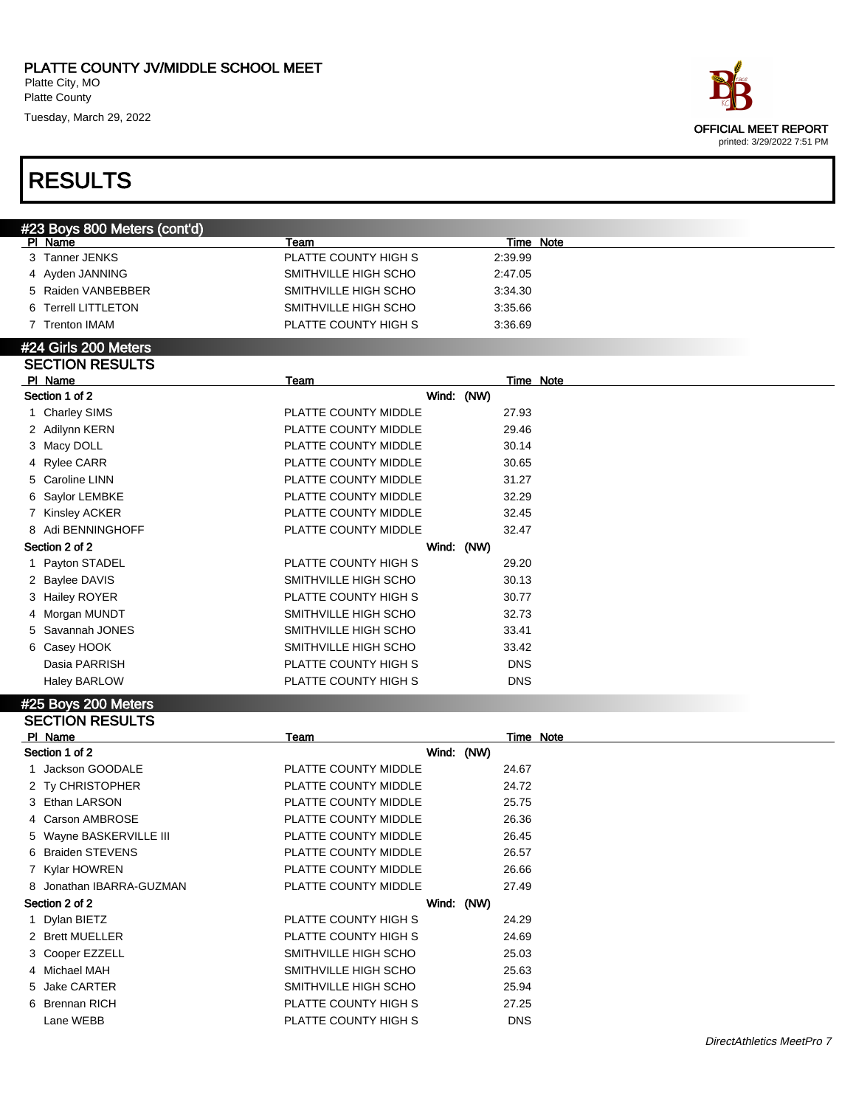## RESULTS

| ace                        |
|----------------------------|
| OFFICIAL MEET REPORT       |
| printed: 3/29/2022 7:51 PM |

| #23 Boys 800 Meters (cont'd) |                      |           |  |
|------------------------------|----------------------|-----------|--|
| PI Name                      | Team                 | Time Note |  |
| 3 Tanner JENKS               | PLATTE COUNTY HIGH S | 2:39.99   |  |
| 4 Ayden JANNING              | SMITHVILLE HIGH SCHO | 2:47.05   |  |
| 5 Raiden VANBEBBER           | SMITHVILLE HIGH SCHO | 3:34.30   |  |
| 6 Terrell LITTLETON          | SMITHVILLE HIGH SCHO | 3:35.66   |  |
| <b>Trenton IMAM</b>          | PLATTE COUNTY HIGH S | 3:36.69   |  |
|                              |                      |           |  |

#### #24 Girls 200 Meters SECTION RESULTS

| PI Name             | Team                 | Time Note  |
|---------------------|----------------------|------------|
| Section 1 of 2      | Wind: (NW)           |            |
| 1 Charley SIMS      | PLATTE COUNTY MIDDLE | 27.93      |
| 2 Adilynn KERN      | PLATTE COUNTY MIDDLE | 29.46      |
| 3 Macy DOLL         | PLATTE COUNTY MIDDLE | 30.14      |
| 4 Rylee CARR        | PLATTE COUNTY MIDDLE | 30.65      |
| 5 Caroline LINN     | PLATTE COUNTY MIDDLE | 31.27      |
| 6 Saylor LEMBKE     | PLATTE COUNTY MIDDLE | 32.29      |
| 7 Kinsley ACKER     | PLATTE COUNTY MIDDLE | 32.45      |
| 8 Adi BENNINGHOFF   | PLATTE COUNTY MIDDLE | 32.47      |
| Section 2 of 2      | Wind: (NW)           |            |
| 1 Payton STADEL     | PLATTE COUNTY HIGH S | 29.20      |
| 2 Baylee DAVIS      | SMITHVILLE HIGH SCHO | 30.13      |
| 3 Hailey ROYER      | PLATTE COUNTY HIGH S | 30.77      |
| 4 Morgan MUNDT      | SMITHVILLE HIGH SCHO | 32.73      |
| 5 Savannah JONES    | SMITHVILLE HIGH SCHO | 33.41      |
| 6 Casey HOOK        | SMITHVILLE HIGH SCHO | 33.42      |
| Dasia PARRISH       | PLATTE COUNTY HIGH S | <b>DNS</b> |
| <b>Haley BARLOW</b> | PLATTE COUNTY HIGH S | <b>DNS</b> |

#### #25 Boys 200 Meters SECTION RESULTS

| PI Name                  | Team                 | Time Note  |
|--------------------------|----------------------|------------|
| Section 1 of 2           | Wind: (NW)           |            |
| Jackson GOODALE          | PLATTE COUNTY MIDDLE | 24.67      |
| 2 Ty CHRISTOPHER         | PLATTE COUNTY MIDDLE | 24.72      |
| 3 Ethan LARSON           | PLATTE COUNTY MIDDLE | 25.75      |
| 4 Carson AMBROSE         | PLATTE COUNTY MIDDLE | 26.36      |
| 5 Wayne BASKERVILLE III  | PLATTE COUNTY MIDDLE | 26.45      |
| 6 Braiden STEVENS        | PLATTE COUNTY MIDDLE | 26.57      |
| 7 Kylar HOWREN           | PLATTE COUNTY MIDDLE | 26.66      |
| 8 Jonathan IBARRA-GUZMAN | PLATTE COUNTY MIDDLE | 27.49      |
| Section 2 of 2           | Wind: (NW)           |            |
| 1 Dylan BIETZ            | PLATTE COUNTY HIGH S | 24.29      |
| 2 Brett MUELLER          | PLATTE COUNTY HIGH S | 24.69      |
| 3 Cooper EZZELL          | SMITHVILLE HIGH SCHO | 25.03      |
| 4 Michael MAH            | SMITHVILLE HIGH SCHO | 25.63      |
| 5 Jake CARTER            | SMITHVILLE HIGH SCHO | 25.94      |
| 6 Brennan RICH           | PLATTE COUNTY HIGH S | 27.25      |
| Lane WEBB                | PLATTE COUNTY HIGH S | <b>DNS</b> |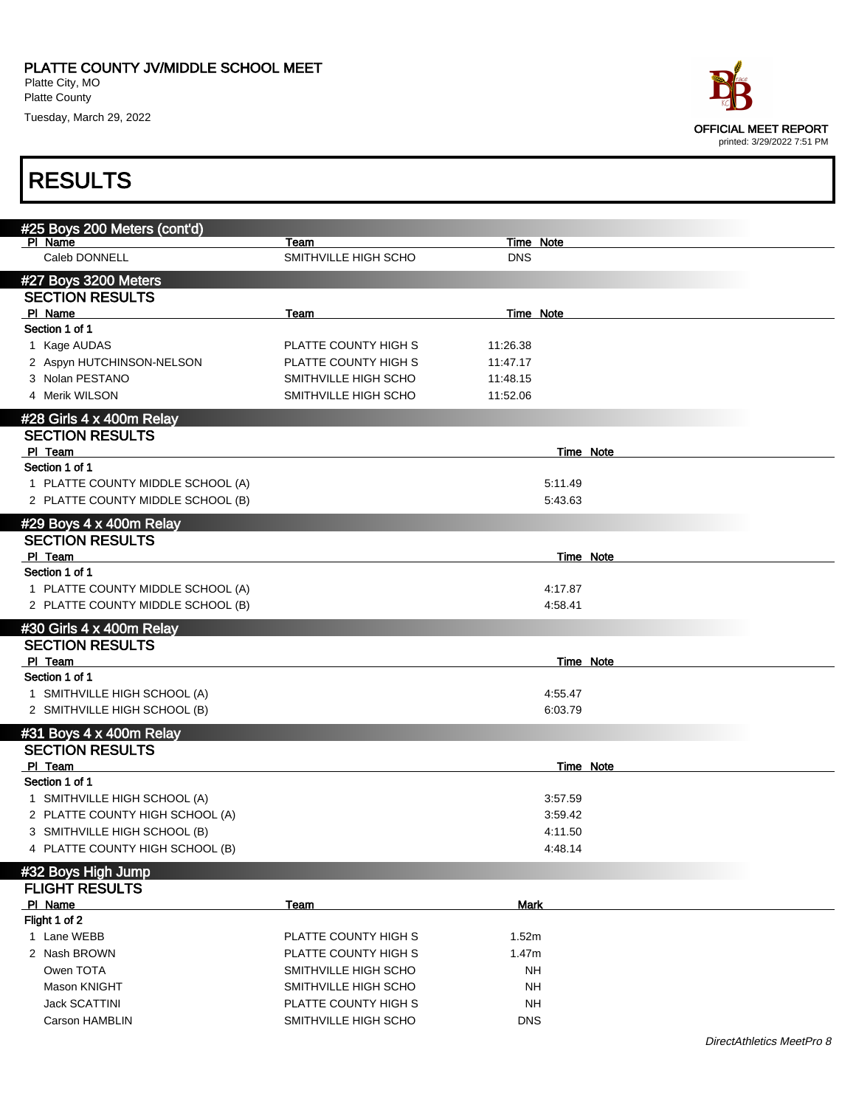

| #25 Boys 200 Meters (cont'd)      |                      |             |           |  |
|-----------------------------------|----------------------|-------------|-----------|--|
| PI Name                           | Team                 |             | Time Note |  |
| Caleb DONNELL                     | SMITHVILLE HIGH SCHO | <b>DNS</b>  |           |  |
| #27 Boys 3200 Meters              |                      |             |           |  |
| <b>SECTION RESULTS</b>            |                      |             |           |  |
| PI Name                           | Team                 |             | Time Note |  |
| Section 1 of 1                    |                      |             |           |  |
| 1 Kage AUDAS                      | PLATTE COUNTY HIGH S | 11:26.38    |           |  |
| 2 Aspyn HUTCHINSON-NELSON         | PLATTE COUNTY HIGH S | 11:47.17    |           |  |
| 3 Nolan PESTANO                   | SMITHVILLE HIGH SCHO | 11:48.15    |           |  |
| 4 Merik WILSON                    | SMITHVILLE HIGH SCHO | 11:52.06    |           |  |
|                                   |                      |             |           |  |
| #28 Girls 4 x 400m Relay          |                      |             |           |  |
| <b>SECTION RESULTS</b>            |                      |             |           |  |
| PI Team                           |                      |             | Time Note |  |
| Section 1 of 1                    |                      |             |           |  |
| 1 PLATTE COUNTY MIDDLE SCHOOL (A) |                      |             | 5:11.49   |  |
| 2 PLATTE COUNTY MIDDLE SCHOOL (B) |                      |             | 5:43.63   |  |
| #29 Boys 4 x 400m Relay           |                      |             |           |  |
| <b>SECTION RESULTS</b>            |                      |             |           |  |
| PI Team                           |                      |             | Time Note |  |
| Section 1 of 1                    |                      |             |           |  |
| 1 PLATTE COUNTY MIDDLE SCHOOL (A) |                      |             | 4:17.87   |  |
| 2 PLATTE COUNTY MIDDLE SCHOOL (B) |                      |             | 4.58.41   |  |
| #30 Girls 4 x 400m Relay          |                      |             |           |  |
| <b>SECTION RESULTS</b>            |                      |             |           |  |
| PI Team                           |                      |             | Time Note |  |
| Section 1 of 1                    |                      |             |           |  |
| 1 SMITHVILLE HIGH SCHOOL (A)      |                      |             | 4:55.47   |  |
| 2 SMITHVILLE HIGH SCHOOL (B)      |                      |             | 6:03.79   |  |
|                                   |                      |             |           |  |
| #31 Boys 4 x 400m Relay           |                      |             |           |  |
| <b>SECTION RESULTS</b>            |                      |             |           |  |
| PI Team                           |                      |             | Time Note |  |
| Section 1 of 1                    |                      |             |           |  |
| 1 SMITHVILLE HIGH SCHOOL (A)      |                      |             | 3:57.59   |  |
| 2 PLATTE COUNTY HIGH SCHOOL (A)   |                      |             | 3.59.42   |  |
| 3 SMITHVILLE HIGH SCHOOL (B)      |                      |             | 4:11.50   |  |
| 4 PLATTE COUNTY HIGH SCHOOL (B)   |                      |             | 4:48.14   |  |
| #32 Boys High Jump                |                      |             |           |  |
| <b>FLIGHT RESULTS</b>             |                      |             |           |  |
| PI Name                           | <b>Team</b>          | <b>Mark</b> |           |  |
| Flight 1 of 2                     |                      |             |           |  |
| 1 Lane WEBB                       | PLATTE COUNTY HIGH S | 1.52m       |           |  |
| 2 Nash BROWN                      | PLATTE COUNTY HIGH S | 1.47m       |           |  |
| Owen TOTA                         | SMITHVILLE HIGH SCHO | NΗ          |           |  |
| Mason KNIGHT                      | SMITHVILLE HIGH SCHO | NΗ          |           |  |
| <b>Jack SCATTINI</b>              | PLATTE COUNTY HIGH S | <b>NH</b>   |           |  |
| Carson HAMBLIN                    |                      | <b>DNS</b>  |           |  |
|                                   | SMITHVILLE HIGH SCHO |             |           |  |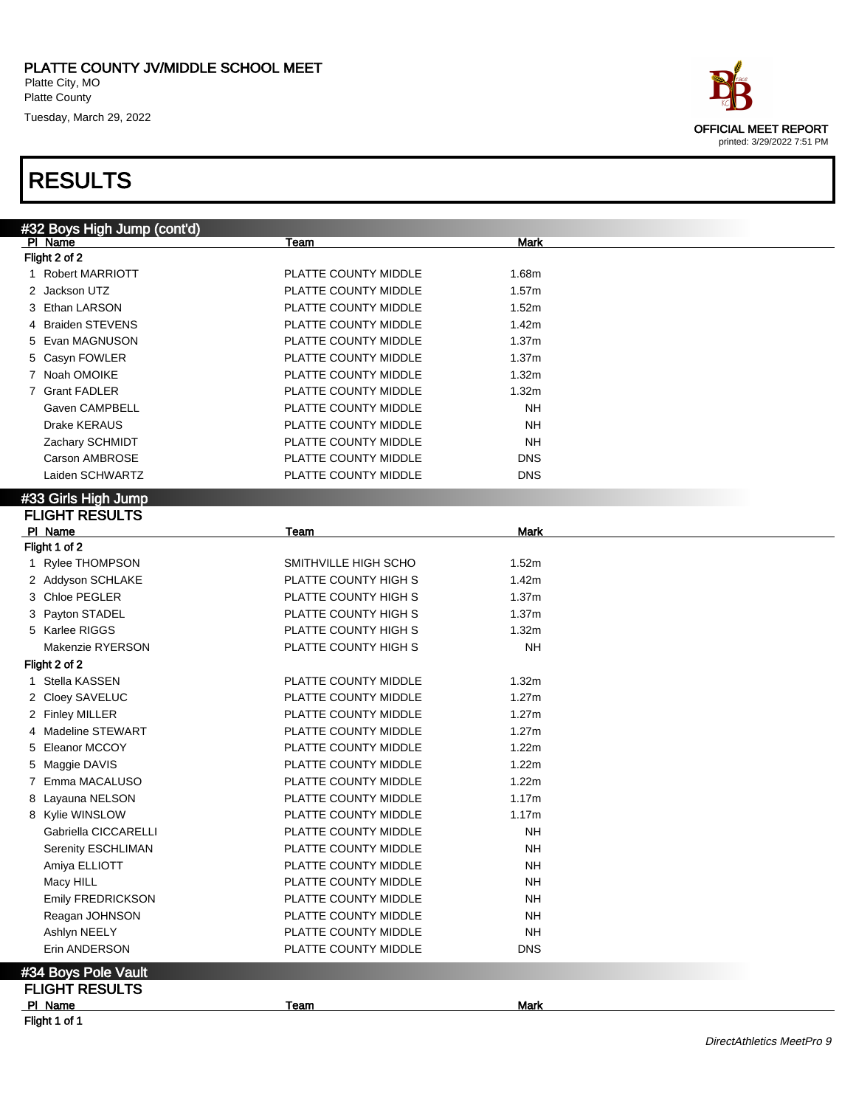| ace                        |
|----------------------------|
| OFFICIAL MEET REPORT       |
| printed: 3/29/2022 7:51 PM |

| #32 Boys High Jump (cont'd)    |                      |                 |  |
|--------------------------------|----------------------|-----------------|--|
| PI Name                        | Team                 | Mark            |  |
| Flight 2 of 2                  |                      |                 |  |
| 1 Robert MARRIOTT              | PLATTE COUNTY MIDDLE | 1.68m           |  |
| 2 Jackson UTZ                  | PLATTE COUNTY MIDDLE | 1.57m           |  |
| 3 Ethan LARSON                 | PLATTE COUNTY MIDDLE | 1.52m           |  |
| 4 Braiden STEVENS              | PLATTE COUNTY MIDDLE | 1.42m           |  |
| 5 Evan MAGNUSON                | PLATTE COUNTY MIDDLE | 1.37m           |  |
| 5 Casyn FOWLER                 | PLATTE COUNTY MIDDLE | 1.37m           |  |
| 7 Noah OMOIKE                  | PLATTE COUNTY MIDDLE | 1.32m           |  |
| 7 Grant FADLER                 | PLATTE COUNTY MIDDLE | 1.32m           |  |
| Gaven CAMPBELL                 | PLATTE COUNTY MIDDLE | NΗ              |  |
| <b>Drake KERAUS</b>            | PLATTE COUNTY MIDDLE | <b>NH</b>       |  |
| Zachary SCHMIDT                | PLATTE COUNTY MIDDLE | <b>NH</b>       |  |
| Carson AMBROSE                 | PLATTE COUNTY MIDDLE | <b>DNS</b>      |  |
| Laiden SCHWARTZ                | PLATTE COUNTY MIDDLE | <b>DNS</b>      |  |
| #33 Girls High Jump            |                      |                 |  |
| <b>FLIGHT RESULTS</b>          |                      |                 |  |
| PI Name                        | Team                 | <b>Mark</b>     |  |
| Flight 1 of 2                  |                      |                 |  |
| Rylee THOMPSON<br>$\mathbf{1}$ | SMITHVILLE HIGH SCHO | 1.52m           |  |
| 2 Addyson SCHLAKE              | PLATTE COUNTY HIGH S | 1.42m           |  |
|                                |                      |                 |  |
| 3 Chloe PEGLER                 | PLATTE COUNTY HIGH S | 1.37m           |  |
| 3 Payton STADEL                | PLATTE COUNTY HIGH S | 1.37m           |  |
| 5 Karlee RIGGS                 | PLATTE COUNTY HIGH S | 1.32m           |  |
| Makenzie RYERSON               | PLATTE COUNTY HIGH S | <b>NH</b>       |  |
| Flight 2 of 2                  |                      |                 |  |
| 1 Stella KASSEN                | PLATTE COUNTY MIDDLE | 1.32m           |  |
| 2 Cloey SAVELUC                | PLATTE COUNTY MIDDLE | 1.27m           |  |
| 2 Finley MILLER                | PLATTE COUNTY MIDDLE | 1.27m           |  |
| 4 Madeline STEWART             | PLATTE COUNTY MIDDLE | 1.27m           |  |
| <b>Eleanor MCCOY</b><br>5      | PLATTE COUNTY MIDDLE | 1.22m           |  |
| Maggie DAVIS<br>5              | PLATTE COUNTY MIDDLE | 1.22m           |  |
| Emma MACALUSO<br>7             | PLATTE COUNTY MIDDLE | 1.22m           |  |
| 8 Layauna NELSON               | PLATTE COUNTY MIDDLE | 1.17m           |  |
| 8 Kylie WINSLOW                | PLATTE COUNTY MIDDLE | 1.17m           |  |
| Gabriella CICCARELLI           | PLATTE COUNTY MIDDLE | NΗ              |  |
| Serenity ESCHLIMAN             | PLATTE COUNTY MIDDLE | $\mathsf{NH}\,$ |  |
| Amiya ELLIOTT                  | PLATTE COUNTY MIDDLE | <b>NH</b>       |  |
| Macy HILL                      | PLATTE COUNTY MIDDLE | <b>NH</b>       |  |
| Emily FREDRICKSON              | PLATTE COUNTY MIDDLE | <b>NH</b>       |  |
| Reagan JOHNSON                 | PLATTE COUNTY MIDDLE | <b>NH</b>       |  |
| Ashlyn NEELY                   | PLATTE COUNTY MIDDLE | <b>NH</b>       |  |
| Erin ANDERSON                  | PLATTE COUNTY MIDDLE | <b>DNS</b>      |  |
|                                |                      |                 |  |
| #34 Boys Pole Vault            |                      |                 |  |
| <b>FLIGHT RESULTS</b>          |                      |                 |  |
| PI Name                        | <b>Team</b>          | <b>Mark</b>     |  |
| Flight 1 of 1                  |                      |                 |  |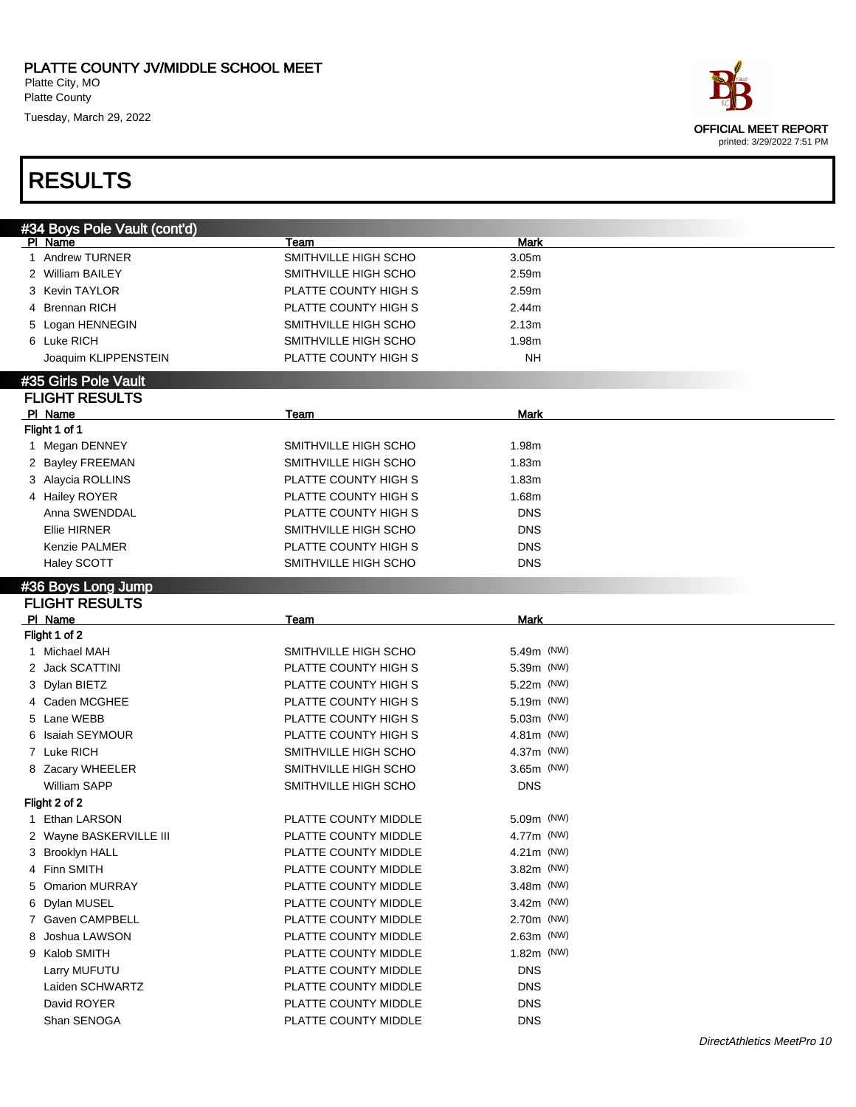| ace:                        |
|-----------------------------|
| <b>OFFICIAL MEET REPORT</b> |
| printed: 3/29/2022 7:51 PM  |

| #34 Boys Pole Vault (cont'd)<br>PI Name | Team                 | <b>Mark</b>       |  |
|-----------------------------------------|----------------------|-------------------|--|
| 1 Andrew TURNER                         | SMITHVILLE HIGH SCHO | 3.05 <sub>m</sub> |  |
| 2 William BAILEY                        | SMITHVILLE HIGH SCHO | 2.59m             |  |
| 3 Kevin TAYLOR                          | PLATTE COUNTY HIGH S | 2.59m             |  |
| 4 Brennan RICH                          | PLATTE COUNTY HIGH S | 2.44m             |  |
| 5 Logan HENNEGIN                        | SMITHVILLE HIGH SCHO | 2.13m             |  |
| 6 Luke RICH                             | SMITHVILLE HIGH SCHO | 1.98m             |  |
| Joaquim KLIPPENSTEIN                    | PLATTE COUNTY HIGH S | <b>NH</b>         |  |
|                                         |                      |                   |  |
| #35 Girls Pole Vault                    |                      |                   |  |
| <b>FLIGHT RESULTS</b>                   |                      |                   |  |
| PI Name                                 | Team                 | <b>Mark</b>       |  |
| Flight 1 of 1                           |                      |                   |  |
| 1 Megan DENNEY                          | SMITHVILLE HIGH SCHO | 1.98m             |  |
| 2 Bayley FREEMAN                        | SMITHVILLE HIGH SCHO | 1.83m             |  |
| 3 Alaycia ROLLINS                       | PLATTE COUNTY HIGH S | 1.83m             |  |
| 4 Hailey ROYER                          | PLATTE COUNTY HIGH S | 1.68m             |  |
| Anna SWENDDAL                           | PLATTE COUNTY HIGH S | <b>DNS</b>        |  |
| <b>Ellie HIRNER</b>                     | SMITHVILLE HIGH SCHO | <b>DNS</b>        |  |
| <b>Kenzie PALMER</b>                    | PLATTE COUNTY HIGH S | <b>DNS</b>        |  |
| Haley SCOTT                             | SMITHVILLE HIGH SCHO | <b>DNS</b>        |  |
| #36 Boys Long Jump                      |                      |                   |  |
| <b>FLIGHT RESULTS</b>                   |                      |                   |  |
| PI Name                                 | Team                 | <b>Mark</b>       |  |
| Flight 1 of 2                           |                      |                   |  |
| 1 Michael MAH                           | SMITHVILLE HIGH SCHO | 5.49m (NW)        |  |
| 2 Jack SCATTINI                         | PLATTE COUNTY HIGH S | 5.39m (NW)        |  |
| 3 Dylan BIETZ                           | PLATTE COUNTY HIGH S | 5.22m (NW)        |  |
| 4 Caden MCGHEE                          | PLATTE COUNTY HIGH S | 5.19m (NW)        |  |
| 5 Lane WEBB                             | PLATTE COUNTY HIGH S | 5.03m (NW)        |  |
| 6 Isaiah SEYMOUR                        | PLATTE COUNTY HIGH S | 4.81m (NW)        |  |
| 7 Luke RICH                             | SMITHVILLE HIGH SCHO | 4.37m (NW)        |  |
| 8 Zacary WHEELER                        | SMITHVILLE HIGH SCHO | $3.65m$ (NW)      |  |
| <b>William SAPP</b>                     | SMITHVILLE HIGH SCHO | <b>DNS</b>        |  |
| Flight 2 of 2                           |                      |                   |  |
| 1 Ethan LARSON                          | PLATTE COUNTY MIDDLE | 5.09m (NW)        |  |
| 2 Wayne BASKERVILLE III                 | PLATTE COUNTY MIDDLE | 4.77m (NW)        |  |
| 3 Brooklyn HALL                         | PLATTE COUNTY MIDDLE | 4.21m (NW)        |  |
| 4 Finn SMITH                            | PLATTE COUNTY MIDDLE | 3.82m (NW)        |  |
| 5 Omarion MURRAY                        | PLATTE COUNTY MIDDLE | 3.48m (NW)        |  |
| Dylan MUSEL                             | PLATTE COUNTY MIDDLE | 3.42m (NW)        |  |
| 6.                                      |                      |                   |  |
| 7 Gaven CAMPBELL                        | PLATTE COUNTY MIDDLE | 2.70m (NW)        |  |
| Joshua LAWSON<br>8                      | PLATTE COUNTY MIDDLE | $2.63m$ (NW)      |  |
| 9 Kalob SMITH                           | PLATTE COUNTY MIDDLE | 1.82m (NW)        |  |
| Larry MUFUTU                            | PLATTE COUNTY MIDDLE | <b>DNS</b>        |  |
| Laiden SCHWARTZ                         | PLATTE COUNTY MIDDLE | <b>DNS</b>        |  |
| David ROYER                             | PLATTE COUNTY MIDDLE | <b>DNS</b>        |  |
| Shan SENOGA                             | PLATTE COUNTY MIDDLE | <b>DNS</b>        |  |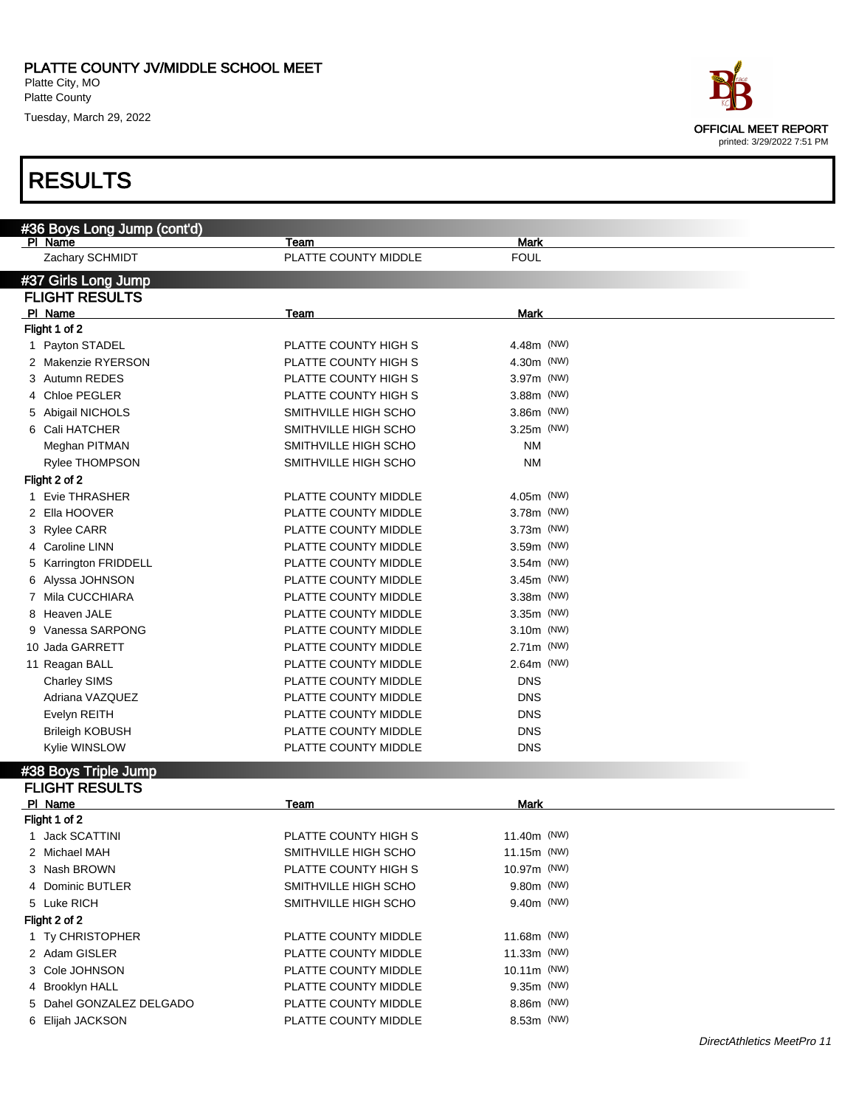| ace                        |  |
|----------------------------|--|
| OFFICIAL MEET REPORT       |  |
| printed: 3/29/2022 7:51 PM |  |

| #36 Boys Long Jump (cont'd)           |                              |                            |
|---------------------------------------|------------------------------|----------------------------|
| PI Name<br>Zachary SCHMIDT            | Team<br>PLATTE COUNTY MIDDLE | <b>Mark</b><br><b>FOUL</b> |
|                                       |                              |                            |
| #37 Girls Long Jump                   |                              |                            |
| <b>FLIGHT RESULTS</b>                 |                              |                            |
| PI Name                               | Team                         | <b>Mark</b>                |
| Flight 1 of 2                         | PLATTE COUNTY HIGH S         | 4.48m (NW)                 |
| 1 Payton STADEL<br>2 Makenzie RYERSON | PLATTE COUNTY HIGH S         | 4.30m (NW)                 |
| 3 Autumn REDES                        | PLATTE COUNTY HIGH S         | 3.97m (NW)                 |
| 4 Chloe PEGLER                        | PLATTE COUNTY HIGH S         | 3.88m (NW)                 |
| 5 Abigail NICHOLS                     | SMITHVILLE HIGH SCHO         | 3.86m (NW)                 |
| 6 Cali HATCHER                        | SMITHVILLE HIGH SCHO         | $3.25m$ (NW)               |
| Meghan PITMAN                         | SMITHVILLE HIGH SCHO         | <b>NM</b>                  |
| Rylee THOMPSON                        | SMITHVILLE HIGH SCHO         | <b>NM</b>                  |
| Flight 2 of 2                         |                              |                            |
| 1 Evie THRASHER                       | PLATTE COUNTY MIDDLE         | 4.05m (NW)                 |
| 2 Ella HOOVER                         | PLATTE COUNTY MIDDLE         | 3.78m (NW)                 |
| 3 Rylee CARR                          | PLATTE COUNTY MIDDLE         | 3.73m (NW)                 |
| 4 Caroline LINN                       | PLATTE COUNTY MIDDLE         | 3.59m (NW)                 |
| 5 Karrington FRIDDELL                 | PLATTE COUNTY MIDDLE         | $3.54m$ (NW)               |
| 6 Alyssa JOHNSON                      | PLATTE COUNTY MIDDLE         | $3.45m$ (NW)               |
| 7 Mila CUCCHIARA                      | PLATTE COUNTY MIDDLE         | 3.38m (NW)                 |
| 8 Heaven JALE                         | PLATTE COUNTY MIDDLE         | $3.35m$ (NW)               |
| 9 Vanessa SARPONG                     | PLATTE COUNTY MIDDLE         | 3.10m (NW)                 |
| 10 Jada GARRETT                       | PLATTE COUNTY MIDDLE         | 2.71m (NW)                 |
| 11 Reagan BALL                        | PLATTE COUNTY MIDDLE         | 2.64m (NW)                 |
| <b>Charley SIMS</b>                   | PLATTE COUNTY MIDDLE         | <b>DNS</b>                 |
| Adriana VAZQUEZ                       | PLATTE COUNTY MIDDLE         | <b>DNS</b>                 |
| Evelyn REITH                          | PLATTE COUNTY MIDDLE         | <b>DNS</b>                 |
| <b>Brileigh KOBUSH</b>                | PLATTE COUNTY MIDDLE         | <b>DNS</b>                 |
| Kylie WINSLOW                         | PLATTE COUNTY MIDDLE         | <b>DNS</b>                 |
|                                       |                              |                            |
| #38 Boys Triple Jump                  |                              |                            |
| <b>FLIGHT RESULTS</b>                 |                              |                            |
| PI Name<br>Flight 1 of 2              | Team                         | <b>Mark</b>                |
| 1 Jack SCATTINI                       | PLATTE COUNTY HIGH S         | 11.40m (NW)                |
| 2 Michael MAH                         | SMITHVILLE HIGH SCHO         | 11.15m (NW)                |
| 3 Nash BROWN                          | PLATTE COUNTY HIGH S         | 10.97m (NW)                |
| 4 Dominic BUTLER                      | SMITHVILLE HIGH SCHO         | 9.80m (NW)                 |
| 5 Luke RICH                           | SMITHVILLE HIGH SCHO         | 9.40m (NW)                 |
| Flight 2 of 2                         |                              |                            |
| 1 Ty CHRISTOPHER                      | PLATTE COUNTY MIDDLE         | 11.68m (NW)                |
| 2 Adam GISLER                         | PLATTE COUNTY MIDDLE         | 11.33m (NW)                |
| 3 Cole JOHNSON                        | PLATTE COUNTY MIDDLE         | 10.11m (NW)                |
| 4 Brooklyn HALL                       | PLATTE COUNTY MIDDLE         | 9.35m (NW)                 |
| 5 Dahel GONZALEZ DELGADO              | PLATTE COUNTY MIDDLE         | 8.86m (NW)                 |
| 6 Elijah JACKSON                      | PLATTE COUNTY MIDDLE         | 8.53m (NW)                 |
|                                       |                              |                            |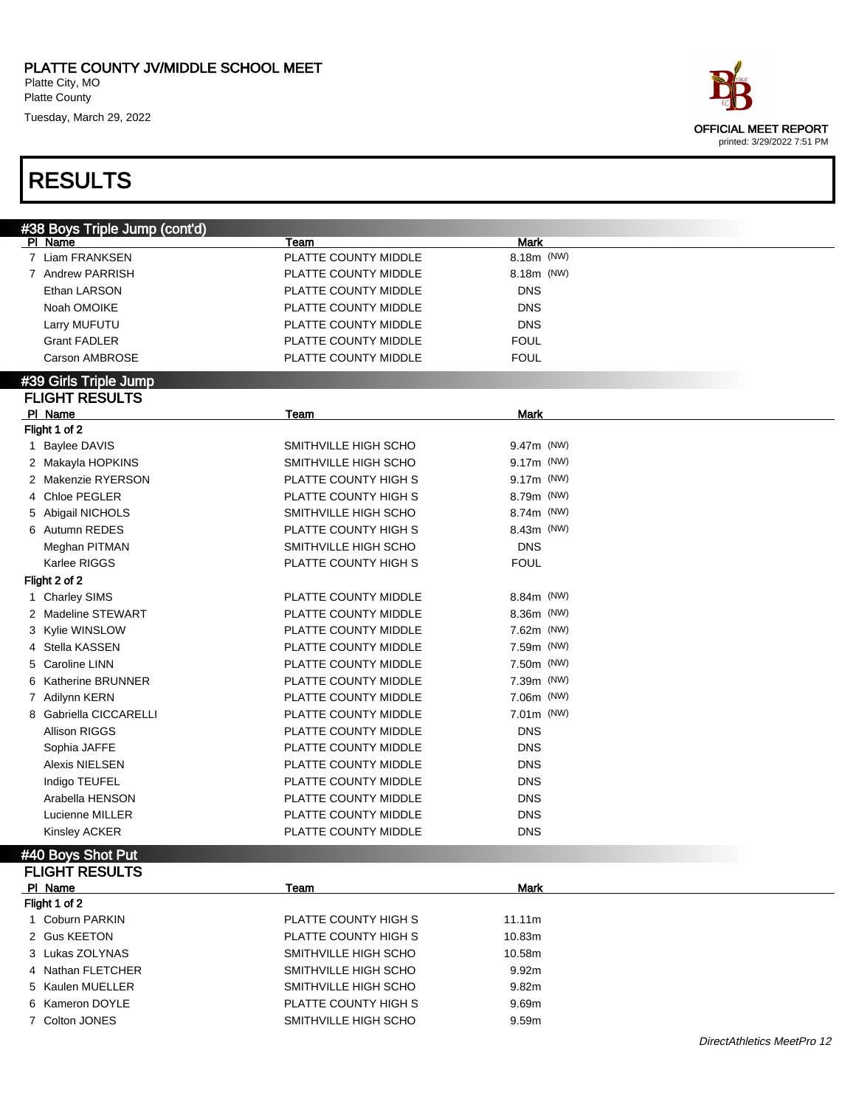

| #38 Boys Triple Jump (cont'd)                                       |  |
|---------------------------------------------------------------------|--|
| <b>Mark</b><br>PI Name<br>Team                                      |  |
| 8.18m (NW)<br>7 Liam FRANKSEN<br>PLATTE COUNTY MIDDLE               |  |
| 8.18m (NW)<br>7 Andrew PARRISH<br>PLATTE COUNTY MIDDLE              |  |
| Ethan LARSON<br>PLATTE COUNTY MIDDLE<br><b>DNS</b>                  |  |
| Noah OMOIKE<br>PLATTE COUNTY MIDDLE<br><b>DNS</b>                   |  |
| PLATTE COUNTY MIDDLE<br><b>DNS</b><br>Larry MUFUTU                  |  |
| <b>Grant FADLER</b><br>PLATTE COUNTY MIDDLE<br><b>FOUL</b>          |  |
| <b>Carson AMBROSE</b><br>PLATTE COUNTY MIDDLE<br><b>FOUL</b>        |  |
|                                                                     |  |
| #39 Girls Triple Jump                                               |  |
| <b>FLIGHT RESULTS</b>                                               |  |
| PI Name<br><b>Mark</b><br>Team                                      |  |
| Flight 1 of 2                                                       |  |
| SMITHVILLE HIGH SCHO<br>9.47m (NW)<br><b>Baylee DAVIS</b><br>1      |  |
| SMITHVILLE HIGH SCHO<br>9.17m (NW)<br>2 Makayla HOPKINS             |  |
| 2 Makenzie RYERSON<br>PLATTE COUNTY HIGH S<br>9.17m (NW)            |  |
| 4 Chloe PEGLER<br>PLATTE COUNTY HIGH S<br>8.79m (NW)                |  |
| 5 Abigail NICHOLS<br>SMITHVILLE HIGH SCHO<br>8.74m (NW)             |  |
| 6 Autumn REDES<br>PLATTE COUNTY HIGH S<br>8.43m (NW)                |  |
| Meghan PITMAN<br>SMITHVILLE HIGH SCHO<br><b>DNS</b>                 |  |
| Karlee RIGGS<br>PLATTE COUNTY HIGH S<br><b>FOUL</b>                 |  |
| Flight 2 of 2                                                       |  |
| PLATTE COUNTY MIDDLE<br>8.84m (NW)<br>1 Charley SIMS                |  |
| 2 Madeline STEWART<br>PLATTE COUNTY MIDDLE<br>8.36m (NW)            |  |
| PLATTE COUNTY MIDDLE<br>7.62m (NW)<br>3 Kylie WINSLOW               |  |
| Stella KASSEN<br>PLATTE COUNTY MIDDLE<br>7.59m (NW)<br>4            |  |
| <b>Caroline LINN</b><br>PLATTE COUNTY MIDDLE<br>7.50m (NW)<br>5     |  |
| <b>Katherine BRUNNER</b><br>PLATTE COUNTY MIDDLE<br>7.39m (NW)<br>6 |  |
| PLATTE COUNTY MIDDLE<br>7.06m (NW)<br>7 Adilynn KERN                |  |
| 8 Gabriella CICCARELLI<br>PLATTE COUNTY MIDDLE<br>7.01m (NW)        |  |
| <b>Allison RIGGS</b><br>PLATTE COUNTY MIDDLE<br><b>DNS</b>          |  |
| PLATTE COUNTY MIDDLE<br><b>DNS</b><br>Sophia JAFFE                  |  |
| Alexis NIELSEN<br>PLATTE COUNTY MIDDLE<br><b>DNS</b>                |  |
|                                                                     |  |
| PLATTE COUNTY MIDDLE<br><b>DNS</b><br>Indigo TEUFEL                 |  |
| PLATTE COUNTY MIDDLE<br><b>DNS</b><br>Arabella HENSON               |  |
| PLATTE COUNTY MIDDLE<br><b>DNS</b><br>Lucienne MILLER               |  |
| PLATTE COUNTY MIDDLE<br><b>DNS</b><br><b>Kinsley ACKER</b>          |  |
| #40 Boys Shot Put                                                   |  |
| <b>FLIGHT RESULTS</b>                                               |  |
| <b>Mark</b><br>PI Name<br><b>Team</b>                               |  |
| Flight 1 of 2                                                       |  |
| 1 Coburn PARKIN<br>PLATTE COUNTY HIGH S<br>11.11m                   |  |
| 2 Gus KEETON<br>PLATTE COUNTY HIGH S<br>10.83m                      |  |
| 3 Lukas ZOLYNAS<br>SMITHVILLE HIGH SCHO<br>10.58m                   |  |
| 4 Nathan FLETCHER<br>SMITHVILLE HIGH SCHO<br>9.92m                  |  |
| 5 Kaulen MUELLER<br>SMITHVILLE HIGH SCHO<br>9.82m                   |  |
| 6 Kameron DOYLE<br>PLATTE COUNTY HIGH S<br>9.69m                    |  |
| 7 Colton JONES<br>SMITHVILLE HIGH SCHO<br>9.59m                     |  |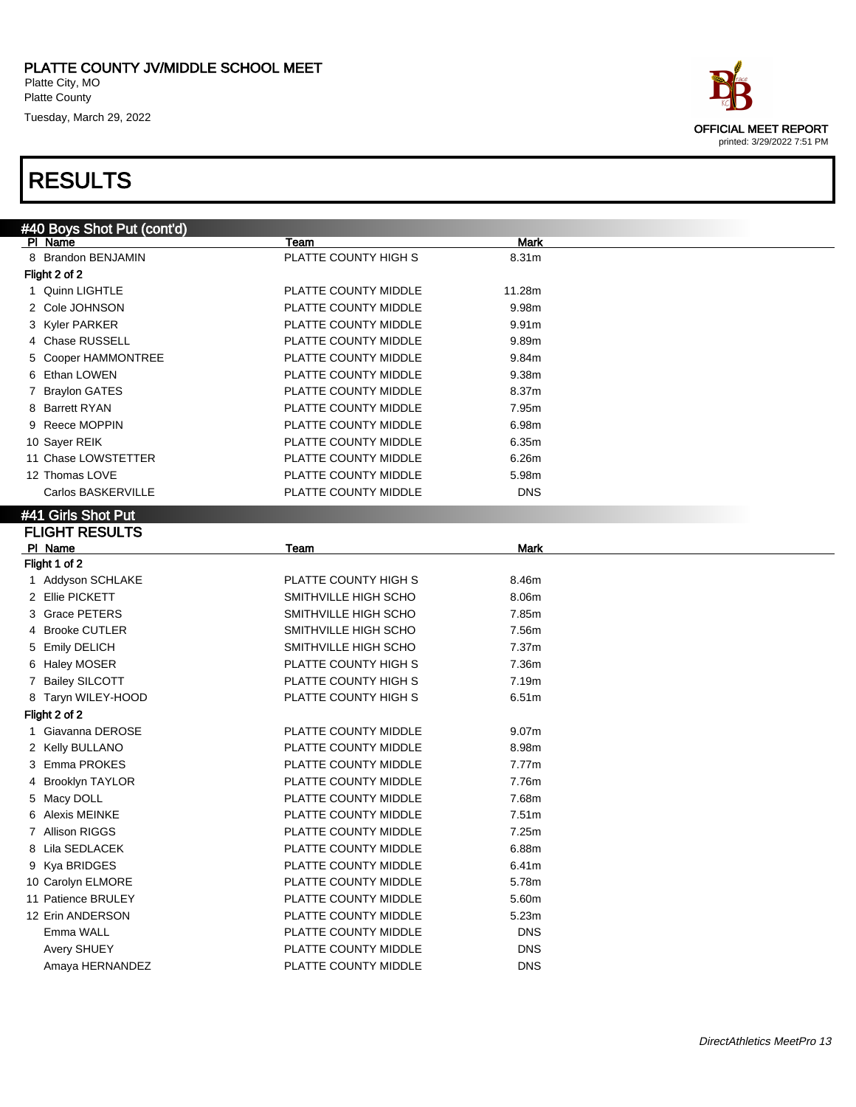| ace                         |  |
|-----------------------------|--|
| <b>OFFICIAL MEET REPORT</b> |  |
| printed: 3/29/2022 7:51 PM  |  |

| #40 Boys Shot Put (cont'd) |                      |                   |  |
|----------------------------|----------------------|-------------------|--|
| PI Name                    | Team                 | Mark              |  |
| 8 Brandon BENJAMIN         | PLATTE COUNTY HIGH S | 8.31m             |  |
| Flight 2 of 2              |                      |                   |  |
| 1 Quinn LIGHTLE            | PLATTE COUNTY MIDDLE | 11.28m            |  |
| 2 Cole JOHNSON             | PLATTE COUNTY MIDDLE | 9.98m             |  |
| 3 Kyler PARKER             | PLATTE COUNTY MIDDLE | 9.91m             |  |
| 4 Chase RUSSELL            | PLATTE COUNTY MIDDLE | 9.89m             |  |
| 5 Cooper HAMMONTREE        | PLATTE COUNTY MIDDLE | 9.84m             |  |
| 6 Ethan LOWEN              | PLATTE COUNTY MIDDLE | 9.38m             |  |
| 7 Braylon GATES            | PLATTE COUNTY MIDDLE | 8.37m             |  |
| 8 Barrett RYAN             | PLATTE COUNTY MIDDLE | 7.95m             |  |
| 9 Reece MOPPIN             | PLATTE COUNTY MIDDLE | 6.98m             |  |
| 10 Sayer REIK              | PLATTE COUNTY MIDDLE | 6.35m             |  |
| 11 Chase LOWSTETTER        | PLATTE COUNTY MIDDLE | 6.26m             |  |
| 12 Thomas LOVE             | PLATTE COUNTY MIDDLE | 5.98m             |  |
| Carlos BASKERVILLE         | PLATTE COUNTY MIDDLE | <b>DNS</b>        |  |
| #41 Girls Shot Put         |                      |                   |  |
| <b>FLIGHT RESULTS</b>      |                      |                   |  |
| PI Name                    | Team                 | Mark              |  |
| Flight 1 of 2              |                      |                   |  |
| 1 Addyson SCHLAKE          | PLATTE COUNTY HIGH S | 8.46m             |  |
| 2 Ellie PICKETT            | SMITHVILLE HIGH SCHO | 8.06m             |  |
| 3 Grace PETERS             | SMITHVILLE HIGH SCHO | 7.85m             |  |
| 4 Brooke CUTLER            | SMITHVILLE HIGH SCHO | 7.56m             |  |
| 5 Emily DELICH             | SMITHVILLE HIGH SCHO | 7.37m             |  |
| 6 Haley MOSER              | PLATTE COUNTY HIGH S | 7.36m             |  |
| <b>Bailey SILCOTT</b><br>7 | PLATTE COUNTY HIGH S | 7.19m             |  |
| 8 Taryn WILEY-HOOD         | PLATTE COUNTY HIGH S | 6.51m             |  |
| Flight 2 of 2              |                      |                   |  |
| 1 Giavanna DEROSE          | PLATTE COUNTY MIDDLE | 9.07 <sub>m</sub> |  |
| 2 Kelly BULLANO            | PLATTE COUNTY MIDDLE | 8.98m             |  |
| 3 Emma PROKES              | PLATTE COUNTY MIDDLE | 7.77m             |  |
| 4 Brooklyn TAYLOR          | PLATTE COUNTY MIDDLE | 7.76m             |  |
| 5 Macy DOLL                | PLATTE COUNTY MIDDLE | 7.68m             |  |
| Alexis MEINKE              | PLATTE COUNTY MIDDLE | 7.51m             |  |
| 7 Allison RIGGS            | PLATTE COUNTY MIDDLE | 7.25m             |  |
| 8 Lila SEDLACEK            | PLATTE COUNTY MIDDLE | 6.88m             |  |
| 9 Kya BRIDGES              | PLATTE COUNTY MIDDLE | 6.41m             |  |
| 10 Carolyn ELMORE          | PLATTE COUNTY MIDDLE | 5.78m             |  |
| 11 Patience BRULEY         | PLATTE COUNTY MIDDLE | 5.60m             |  |
| 12 Erin ANDERSON           | PLATTE COUNTY MIDDLE | 5.23m             |  |
| Emma WALL                  | PLATTE COUNTY MIDDLE | <b>DNS</b>        |  |
| Avery SHUEY                | PLATTE COUNTY MIDDLE | <b>DNS</b>        |  |
| Amaya HERNANDEZ            | PLATTE COUNTY MIDDLE | <b>DNS</b>        |  |
|                            |                      |                   |  |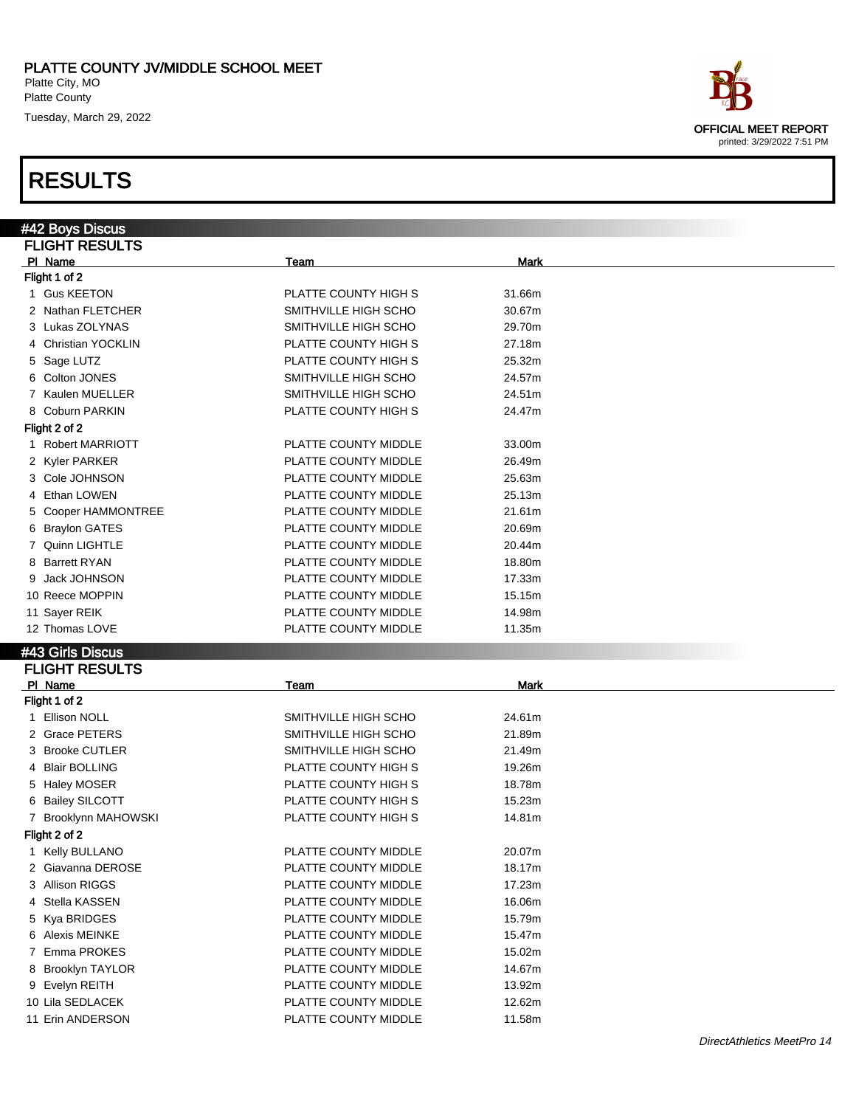#### RESULTS

#42 Boys Discus